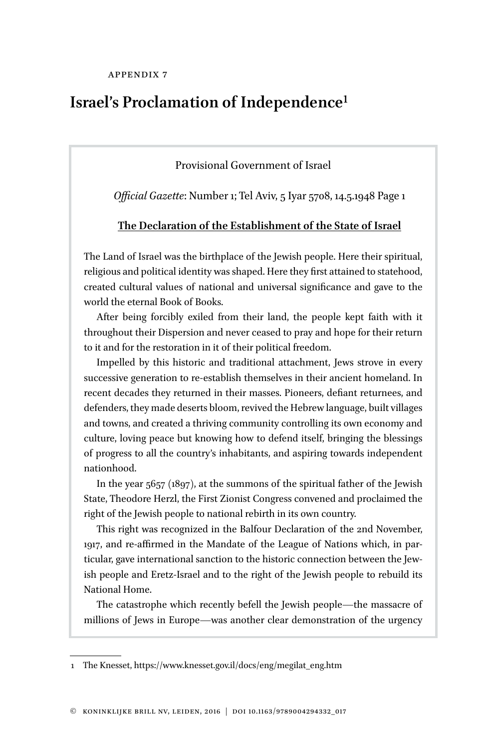## **Israel's Proclamation of Independence**1

## Provisional Government of Israel

*Official Gazette*: Number 1; Tel Aviv, 5 Iyar 5708, 14.5.1948 Page 1

## **The Declaration of the Establishment of the State of Israel**

The Land of Israel was the birthplace of the Jewish people. Here their spiritual, religious and political identity was shaped. Here they first attained to statehood, created cultural values of national and universal significance and gave to the world the eternal Book of Books.

After being forcibly exiled from their land, the people kept faith with it throughout their Dispersion and never ceased to pray and hope for their return to it and for the restoration in it of their political freedom.

Impelled by this historic and traditional attachment, Jews strove in every successive generation to re-establish themselves in their ancient homeland. In recent decades they returned in their masses. Pioneers, defiant returnees, and defenders, they made deserts bloom, revived the Hebrew language, built villages and towns, and created a thriving community controlling its own economy and culture, loving peace but knowing how to defend itself, bringing the blessings of progress to all the country's inhabitants, and aspiring towards independent nationhood.

In the year 5657 (1897), at the summons of the spiritual father of the Jewish State, Theodore Herzl, the First Zionist Congress convened and proclaimed the right of the Jewish people to national rebirth in its own country.

This right was recognized in the Balfour Declaration of the 2nd November, 1917, and re-affirmed in the Mandate of the League of Nations which, in particular, gave international sanction to the historic connection between the Jewish people and Eretz-Israel and to the right of the Jewish people to rebuild its National Home.

The catastrophe which recently befell the Jewish people—the massacre of millions of Jews in Europe—was another clear demonstration of the urgency

<sup>1</sup> The Knesset, [https://www.knesset.gov.il/docs/eng/megilat\\_eng.htm](https://www.knesset.gov.il/docs/eng/megilat_eng.htm)